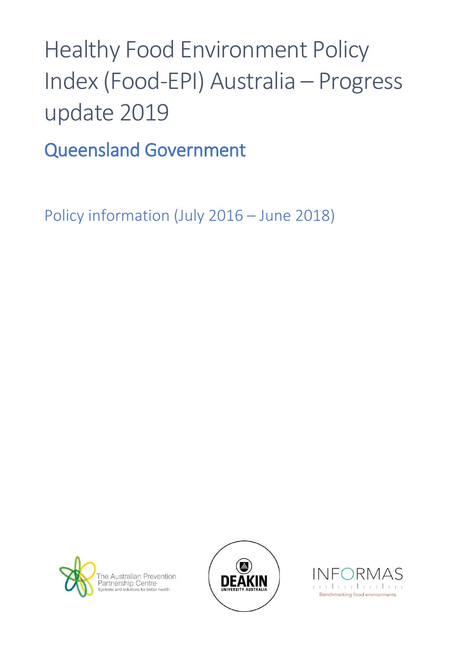# Healthy Food Environment Policy Index (Food-EPI) Australia – Progress update 2019

Queensland Government

Policy information (July 2016 – June 2018)





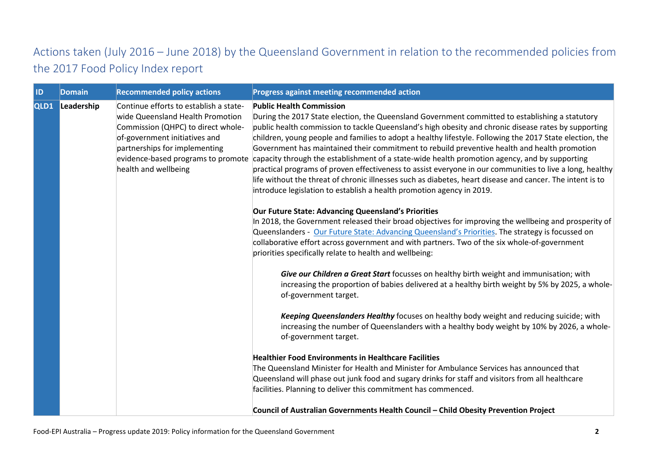## Actions taken (July 2016 – June 2018) by the Queensland Government in relation to the recommended policies from the 2017 Food Policy Index report

| <b>ID</b> | <b>Domain</b> | <b>Recommended policy actions</b>                                                                                                                                                                          | Progress against meeting recommended action                                                                                                                                                                                                                                                                                                                                                                                                                                                                                                                                                                                                                                                                                                                                                                                                                                                  |
|-----------|---------------|------------------------------------------------------------------------------------------------------------------------------------------------------------------------------------------------------------|----------------------------------------------------------------------------------------------------------------------------------------------------------------------------------------------------------------------------------------------------------------------------------------------------------------------------------------------------------------------------------------------------------------------------------------------------------------------------------------------------------------------------------------------------------------------------------------------------------------------------------------------------------------------------------------------------------------------------------------------------------------------------------------------------------------------------------------------------------------------------------------------|
| QLD1      | Leadership    | Continue efforts to establish a state-<br>wide Queensland Health Promotion<br>Commission (QHPC) to direct whole-<br>of-government initiatives and<br>partnerships for implementing<br>health and wellbeing | <b>Public Health Commission</b><br>During the 2017 State election, the Queensland Government committed to establishing a statutory<br>public health commission to tackle Queensland's high obesity and chronic disease rates by supporting<br>children, young people and families to adopt a healthy lifestyle. Following the 2017 State election, the<br>Government has maintained their commitment to rebuild preventive health and health promotion<br>evidence-based programs to promote capacity through the establishment of a state-wide health promotion agency, and by supporting<br>practical programs of proven effectiveness to assist everyone in our communities to live a long, healthy<br>life without the threat of chronic illnesses such as diabetes, heart disease and cancer. The intent is to<br>introduce legislation to establish a health promotion agency in 2019. |
|           |               |                                                                                                                                                                                                            | Our Future State: Advancing Queensland's Priorities<br>In 2018, the Government released their broad objectives for improving the wellbeing and prosperity of<br>Queenslanders - Our Future State: Advancing Queensland's Priorities. The strategy is focussed on<br>collaborative effort across government and with partners. Two of the six whole-of-government<br>priorities specifically relate to health and wellbeing:                                                                                                                                                                                                                                                                                                                                                                                                                                                                  |
|           |               |                                                                                                                                                                                                            | Give our Children a Great Start focusses on healthy birth weight and immunisation; with<br>increasing the proportion of babies delivered at a healthy birth weight by 5% by 2025, a whole-<br>of-government target.                                                                                                                                                                                                                                                                                                                                                                                                                                                                                                                                                                                                                                                                          |
|           |               |                                                                                                                                                                                                            | Keeping Queenslanders Healthy focuses on healthy body weight and reducing suicide; with<br>increasing the number of Queenslanders with a healthy body weight by 10% by 2026, a whole-<br>of-government target.                                                                                                                                                                                                                                                                                                                                                                                                                                                                                                                                                                                                                                                                               |
|           |               |                                                                                                                                                                                                            | <b>Healthier Food Environments in Healthcare Facilities</b><br>The Queensland Minister for Health and Minister for Ambulance Services has announced that<br>Queensland will phase out junk food and sugary drinks for staff and visitors from all healthcare<br>facilities. Planning to deliver this commitment has commenced.                                                                                                                                                                                                                                                                                                                                                                                                                                                                                                                                                               |
|           |               |                                                                                                                                                                                                            | Council of Australian Governments Health Council - Child Obesity Prevention Project                                                                                                                                                                                                                                                                                                                                                                                                                                                                                                                                                                                                                                                                                                                                                                                                          |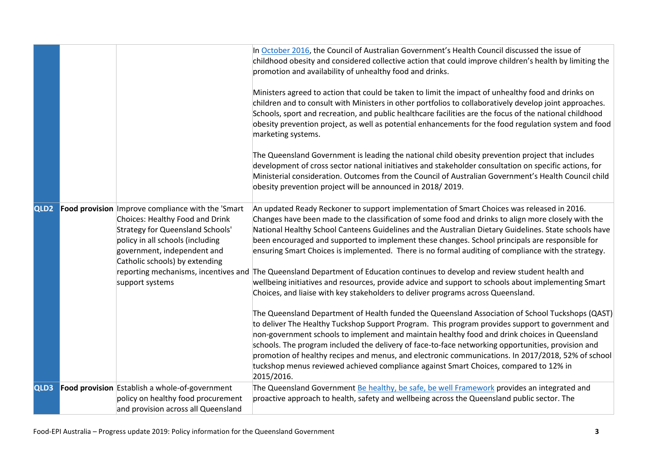|                  |                                                                                                                                                                                                                                      | In October 2016, the Council of Australian Government's Health Council discussed the issue of<br>childhood obesity and considered collective action that could improve children's health by limiting the<br>promotion and availability of unhealthy food and drinks.                                                                                                                                                                                                                                                                                                                                                     |
|------------------|--------------------------------------------------------------------------------------------------------------------------------------------------------------------------------------------------------------------------------------|--------------------------------------------------------------------------------------------------------------------------------------------------------------------------------------------------------------------------------------------------------------------------------------------------------------------------------------------------------------------------------------------------------------------------------------------------------------------------------------------------------------------------------------------------------------------------------------------------------------------------|
|                  |                                                                                                                                                                                                                                      | Ministers agreed to action that could be taken to limit the impact of unhealthy food and drinks on<br>children and to consult with Ministers in other portfolios to collaboratively develop joint approaches.<br>Schools, sport and recreation, and public healthcare facilities are the focus of the national childhood<br>obesity prevention project, as well as potential enhancements for the food regulation system and food<br>marketing systems.                                                                                                                                                                  |
|                  |                                                                                                                                                                                                                                      | The Queensland Government is leading the national child obesity prevention project that includes<br>development of cross sector national initiatives and stakeholder consultation on specific actions, for<br>Ministerial consideration. Outcomes from the Council of Australian Government's Health Council child<br>obesity prevention project will be announced in 2018/2019.                                                                                                                                                                                                                                         |
| QLD <sub>2</sub> | Food provision Improve compliance with the 'Smart<br>Choices: Healthy Food and Drink<br><b>Strategy for Queensland Schools'</b><br>policy in all schools (including<br>government, independent and<br>Catholic schools) by extending | An updated Ready Reckoner to support implementation of Smart Choices was released in 2016.<br>Changes have been made to the classification of some food and drinks to align more closely with the<br>National Healthy School Canteens Guidelines and the Australian Dietary Guidelines. State schools have<br>been encouraged and supported to implement these changes. School principals are responsible for<br>ensuring Smart Choices is implemented. There is no formal auditing of compliance with the strategy.                                                                                                     |
|                  | support systems                                                                                                                                                                                                                      | reporting mechanisms, incentives and The Queensland Department of Education continues to develop and review student health and<br>wellbeing initiatives and resources, provide advice and support to schools about implementing Smart<br>Choices, and liaise with key stakeholders to deliver programs across Queensland.                                                                                                                                                                                                                                                                                                |
|                  |                                                                                                                                                                                                                                      | The Queensland Department of Health funded the Queensland Association of School Tuckshops (QAST)<br>to deliver The Healthy Tuckshop Support Program. This program provides support to government and<br>non-government schools to implement and maintain healthy food and drink choices in Queensland<br>schools. The program included the delivery of face-to-face networking opportunities, provision and<br>promotion of healthy recipes and menus, and electronic communications. In 2017/2018, 52% of school<br>tuckshop menus reviewed achieved compliance against Smart Choices, compared to 12% in<br>2015/2016. |
| QLD3             | Food provision Establish a whole-of-government                                                                                                                                                                                       | The Queensland Government Be healthy, be safe, be well Framework provides an integrated and                                                                                                                                                                                                                                                                                                                                                                                                                                                                                                                              |
|                  | policy on healthy food procurement                                                                                                                                                                                                   | proactive approach to health, safety and wellbeing across the Queensland public sector. The                                                                                                                                                                                                                                                                                                                                                                                                                                                                                                                              |
|                  | and provision across all Queensland                                                                                                                                                                                                  |                                                                                                                                                                                                                                                                                                                                                                                                                                                                                                                                                                                                                          |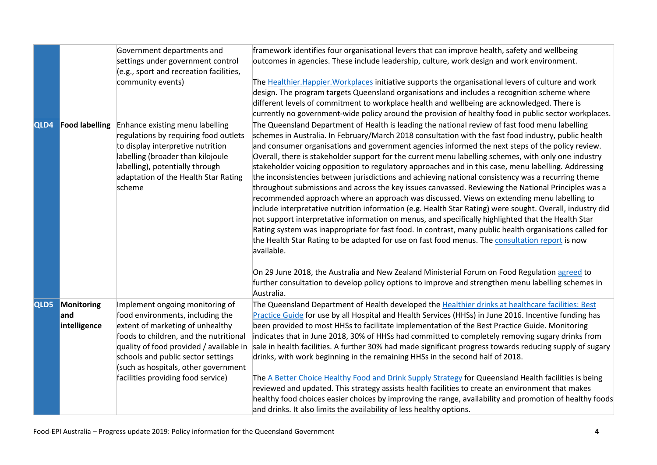|                  |                                           | Government departments and<br>settings under government control<br>(e.g., sport and recreation facilities,<br>community events)                                                                                                                                                                                  | framework identifies four organisational levers that can improve health, safety and wellbeing<br>outcomes in agencies. These include leadership, culture, work design and work environment.<br>The Healthier. Happier. Workplaces initiative supports the organisational levers of culture and work<br>design. The program targets Queensland organisations and includes a recognition scheme where<br>different levels of commitment to workplace health and wellbeing are acknowledged. There is<br>currently no government-wide policy around the provision of healthy food in public sector workplaces.                                                                                                                                                                                                                                                                                                                                                                                                                                                                                                                                                                                                                                                                                                                                                                           |
|------------------|-------------------------------------------|------------------------------------------------------------------------------------------------------------------------------------------------------------------------------------------------------------------------------------------------------------------------------------------------------------------|---------------------------------------------------------------------------------------------------------------------------------------------------------------------------------------------------------------------------------------------------------------------------------------------------------------------------------------------------------------------------------------------------------------------------------------------------------------------------------------------------------------------------------------------------------------------------------------------------------------------------------------------------------------------------------------------------------------------------------------------------------------------------------------------------------------------------------------------------------------------------------------------------------------------------------------------------------------------------------------------------------------------------------------------------------------------------------------------------------------------------------------------------------------------------------------------------------------------------------------------------------------------------------------------------------------------------------------------------------------------------------------|
| QLD4             | <b>Food labelling</b>                     | Enhance existing menu labelling<br>regulations by requiring food outlets<br>to display interpretive nutrition<br>labelling (broader than kilojoule<br>labelling), potentially through<br>adaptation of the Health Star Rating<br>scheme                                                                          | The Queensland Department of Health is leading the national review of fast food menu labelling<br>schemes in Australia. In February/March 2018 consultation with the fast food industry, public health<br>and consumer organisations and government agencies informed the next steps of the policy review.<br>Overall, there is stakeholder support for the current menu labelling schemes, with only one industry<br>stakeholder voicing opposition to regulatory approaches and in this case, menu labelling. Addressing<br>the inconsistencies between jurisdictions and achieving national consistency was a recurring theme<br>throughout submissions and across the key issues canvassed. Reviewing the National Principles was a<br>recommended approach where an approach was discussed. Views on extending menu labelling to<br>include interpretative nutrition information (e.g. Health Star Rating) were sought. Overall, industry did<br>not support interpretative information on menus, and specifically highlighted that the Health Star<br>Rating system was inappropriate for fast food. In contrast, many public health organisations called for<br>the Health Star Rating to be adapted for use on fast food menus. The consultation report is now<br>available.<br>On 29 June 2018, the Australia and New Zealand Ministerial Forum on Food Regulation agreed to |
|                  |                                           |                                                                                                                                                                                                                                                                                                                  | further consultation to develop policy options to improve and strengthen menu labelling schemes in<br>Australia.                                                                                                                                                                                                                                                                                                                                                                                                                                                                                                                                                                                                                                                                                                                                                                                                                                                                                                                                                                                                                                                                                                                                                                                                                                                                      |
| QLD <sub>5</sub> | <b>Monitoring</b><br>land<br>intelligence | Implement ongoing monitoring of<br>food environments, including the<br>extent of marketing of unhealthy<br>foods to children, and the nutritional<br>quality of food provided / available in<br>schools and public sector settings<br>(such as hospitals, other government<br>facilities providing food service) | The Queensland Department of Health developed the Healthier drinks at healthcare facilities: Best<br>Practice Guide for use by all Hospital and Health Services (HHSs) in June 2016. Incentive funding has<br>been provided to most HHSs to facilitate implementation of the Best Practice Guide. Monitoring<br>indicates that in June 2018, 30% of HHSs had committed to completely removing sugary drinks from<br>sale in health facilities. A further 30% had made significant progress towards reducing supply of sugary<br>drinks, with work beginning in the remaining HHSs in the second half of 2018.<br>The A Better Choice Healthy Food and Drink Supply Strategy for Queensland Health facilities is being<br>reviewed and updated. This strategy assists health facilities to create an environment that makes<br>healthy food choices easier choices by improving the range, availability and promotion of healthy foods<br>and drinks. It also limits the availability of less healthy options.                                                                                                                                                                                                                                                                                                                                                                         |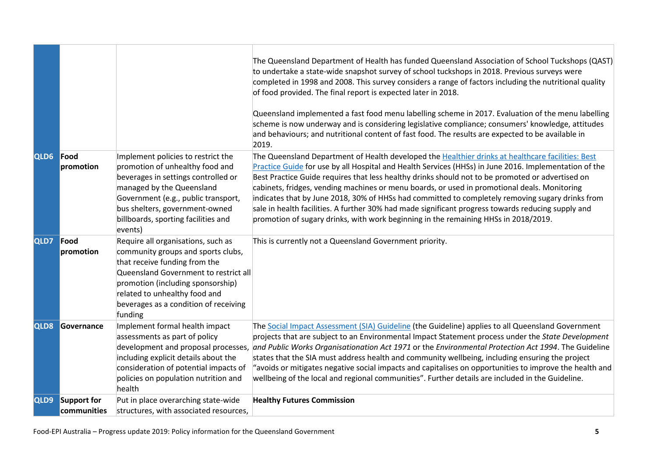|      |                                   |                                                                                                                                                                                                                                                                              | The Queensland Department of Health has funded Queensland Association of School Tuckshops (QAST)<br>to undertake a state-wide snapshot survey of school tuckshops in 2018. Previous surveys were<br>completed in 1998 and 2008. This survey considers a range of factors including the nutritional quality<br>of food provided. The final report is expected later in 2018.<br>Queensland implemented a fast food menu labelling scheme in 2017. Evaluation of the menu labelling<br>scheme is now underway and is considering legislative compliance; consumers' knowledge, attitudes<br>and behaviours; and nutritional content of fast food. The results are expected to be available in<br>2019.            |
|------|-----------------------------------|------------------------------------------------------------------------------------------------------------------------------------------------------------------------------------------------------------------------------------------------------------------------------|-----------------------------------------------------------------------------------------------------------------------------------------------------------------------------------------------------------------------------------------------------------------------------------------------------------------------------------------------------------------------------------------------------------------------------------------------------------------------------------------------------------------------------------------------------------------------------------------------------------------------------------------------------------------------------------------------------------------|
| QLD6 | Food<br>promotion                 | Implement policies to restrict the<br>promotion of unhealthy food and<br>beverages in settings controlled or<br>managed by the Queensland<br>Government (e.g., public transport,<br>bus shelters, government-owned<br>billboards, sporting facilities and<br>events)         | The Queensland Department of Health developed the Healthier drinks at healthcare facilities: Best<br>Practice Guide for use by all Hospital and Health Services (HHSs) in June 2016. Implementation of the<br>Best Practice Guide requires that less healthy drinks should not to be promoted or advertised on<br>cabinets, fridges, vending machines or menu boards, or used in promotional deals. Monitoring<br>indicates that by June 2018, 30% of HHSs had committed to completely removing sugary drinks from<br>sale in health facilities. A further 30% had made significant progress towards reducing supply and<br>promotion of sugary drinks, with work beginning in the remaining HHSs in 2018/2019. |
| QLD7 | Food<br>promotion                 | Require all organisations, such as<br>community groups and sports clubs,<br>that receive funding from the<br>Queensland Government to restrict all<br>promotion (including sponsorship)<br>related to unhealthy food and<br>beverages as a condition of receiving<br>funding | This is currently not a Queensland Government priority.                                                                                                                                                                                                                                                                                                                                                                                                                                                                                                                                                                                                                                                         |
| QLD8 | Governance                        | Implement formal health impact<br>assessments as part of policy<br>including explicit details about the<br>consideration of potential impacts of<br>policies on population nutrition and<br>health                                                                           | The Social Impact Assessment (SIA) Guideline (the Guideline) applies to all Queensland Government<br>projects that are subject to an Environmental Impact Statement process under the State Development<br>development and proposal processes, and Public Works Organisationation Act 1971 or the Environmental Protection Act 1994. The Guideline<br>states that the SIA must address health and community wellbeing, including ensuring the project<br>avoids or mitigates negative social impacts and capitalises on opportunities to improve the health and<br>wellbeing of the local and regional communities". Further details are included in the Guideline.                                             |
| QLD9 | <b>Support for</b><br>communities | Put in place overarching state-wide<br>structures, with associated resources,                                                                                                                                                                                                | <b>Healthy Futures Commission</b>                                                                                                                                                                                                                                                                                                                                                                                                                                                                                                                                                                                                                                                                               |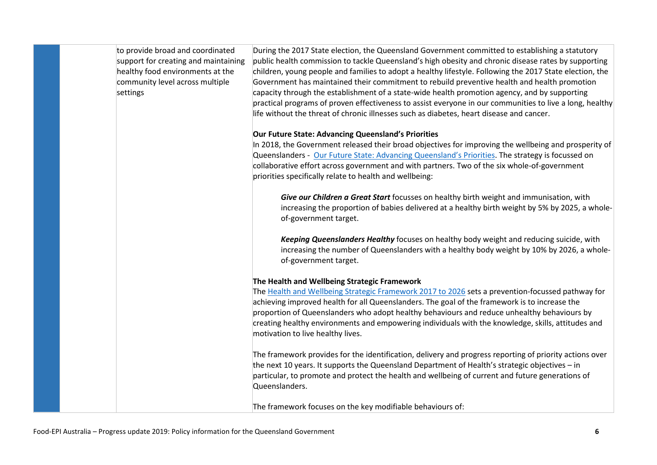to provide broad and coordinated support for creating and maintaining healthy food environments at the community level across multiple settings

During the 2017 State election, the Queensland Government committed to establishing a statutory public health commission to tackle Queensland's high obesity and chronic disease rates by supporting children, young people and families to adopt a healthy lifestyle. Following the 2017 State election, the Government has maintained their commitment to rebuild preventive health and health promotion capacity through the establishment of a state-wide health promotion agency, and by supporting practical programs of proven effectiveness to assist everyone in our communities to live a long, healthy life without the threat of chronic illnesses such as diabetes, heart disease and cancer.

#### **Our Future State: Advancing Queensland's Priorities**

In 2018, the Government released their broad objectives for improving the wellbeing and prosperity of Queenslanders - [Our Future State: Advancing Queensland's Priorities.](https://www.ourfuture.qld.gov.au/assets/custom/docs/gov-objectives.pdf?c) The strategy is focussed on collaborative effort across government and with partners. Two of the six whole-of-government priorities specifically relate to health and wellbeing:

*Give our Children a Great Start* focusses on healthy birth weight and immunisation, with increasing the proportion of babies delivered at a healthy birth weight by 5% by 2025, a wholeof-government target.

*Keeping Queenslanders Healthy* focuses on healthy body weight and reducing suicide, with increasing the number of Queenslanders with a healthy body weight by 10% by 2026, a wholeof-government target.

#### **The Health and Wellbeing Strategic Framework**

The [Health and Wellbeing Strategic Framework 2017 to 2026](https://publications.qld.gov.au/dataset/health-and-wellbeing-strategic-framework-2017-to-2026/resource/2d8461d3-98bb-4c45-9c1b-19e88a3cf56d) sets a prevention-focussed pathway for achieving improved health for all Queenslanders. The goal of the framework is to increase the proportion of Queenslanders who adopt healthy behaviours and reduce unhealthy behaviours by creating healthy environments and empowering individuals with the knowledge, skills, attitudes and motivation to live healthy lives.

The framework provides for the identification, delivery and progress reporting of priority actions over the next 10 years. It supports the Queensland Department of Health's strategic objectives – in particular, to promote and protect the health and wellbeing of current and future generations of Queenslanders.

The framework focuses on the key modifiable behaviours of: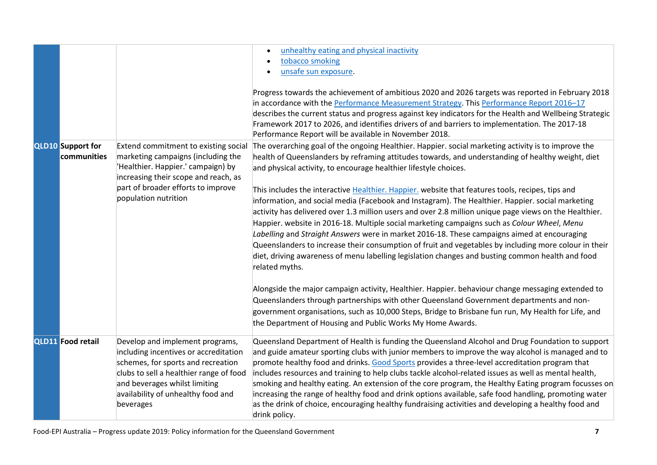|                                         |                                                                                                                                                                                                                                               | unhealthy eating and physical inactivity<br>tobacco smoking<br>unsafe sun exposure.<br>Progress towards the achievement of ambitious 2020 and 2026 targets was reported in February 2018<br>in accordance with the Performance Measurement Strategy. This Performance Report 2016-17<br>describes the current status and progress against key indicators for the Health and Wellbeing Strategic<br>Framework 2017 to 2026, and identifies drivers of and barriers to implementation. The 2017-18<br>Performance Report will be available in November 2018.                                                                                                                                                                                                                                                                                                                                                                                                                                                                                                                                                                                                                                                                                                                                                                                                                                        |
|-----------------------------------------|-----------------------------------------------------------------------------------------------------------------------------------------------------------------------------------------------------------------------------------------------|---------------------------------------------------------------------------------------------------------------------------------------------------------------------------------------------------------------------------------------------------------------------------------------------------------------------------------------------------------------------------------------------------------------------------------------------------------------------------------------------------------------------------------------------------------------------------------------------------------------------------------------------------------------------------------------------------------------------------------------------------------------------------------------------------------------------------------------------------------------------------------------------------------------------------------------------------------------------------------------------------------------------------------------------------------------------------------------------------------------------------------------------------------------------------------------------------------------------------------------------------------------------------------------------------------------------------------------------------------------------------------------------------|
| <b>QLD10</b> Support for<br>communities | Extend commitment to existing social<br>marketing campaigns (including the<br>'Healthier. Happier.' campaign) by<br>increasing their scope and reach, as<br>part of broader efforts to improve<br>population nutrition                        | The overarching goal of the ongoing Healthier. Happier. social marketing activity is to improve the<br>health of Queenslanders by reframing attitudes towards, and understanding of healthy weight, diet<br>and physical activity, to encourage healthier lifestyle choices.<br>This includes the interactive Healthier. Happier, website that features tools, recipes, tips and<br>information, and social media (Facebook and Instagram). The Healthier. Happier. social marketing<br>activity has delivered over 1.3 million users and over 2.8 million unique page views on the Healthier.<br>Happier. website in 2016-18. Multiple social marketing campaigns such as Colour Wheel, Menu<br>Labelling and Straight Answers were in market 2016-18. These campaigns aimed at encouraging<br>Queenslanders to increase their consumption of fruit and vegetables by including more colour in their<br>diet, driving awareness of menu labelling legislation changes and busting common health and food<br>related myths.<br>Alongside the major campaign activity, Healthier. Happier. behaviour change messaging extended to<br>Queenslanders through partnerships with other Queensland Government departments and non-<br>government organisations, such as 10,000 Steps, Bridge to Brisbane fun run, My Health for Life, and<br>the Department of Housing and Public Works My Home Awards. |
| <b>QLD11</b> Food retail                | Develop and implement programs,<br>including incentives or accreditation<br>schemes, for sports and recreation<br>clubs to sell a healthier range of food<br>and beverages whilst limiting<br>availability of unhealthy food and<br>beverages | Queensland Department of Health is funding the Queensland Alcohol and Drug Foundation to support<br>and guide amateur sporting clubs with junior members to improve the way alcohol is managed and to<br>promote healthy food and drinks. Good Sports provides a three-level accreditation program that<br>includes resources and training to help clubs tackle alcohol-related issues as well as mental health,<br>smoking and healthy eating. An extension of the core program, the Healthy Eating program focusses on<br>increasing the range of healthy food and drink options available, safe food handling, promoting water<br>as the drink of choice, encouraging healthy fundraising activities and developing a healthy food and<br>drink policy.                                                                                                                                                                                                                                                                                                                                                                                                                                                                                                                                                                                                                                        |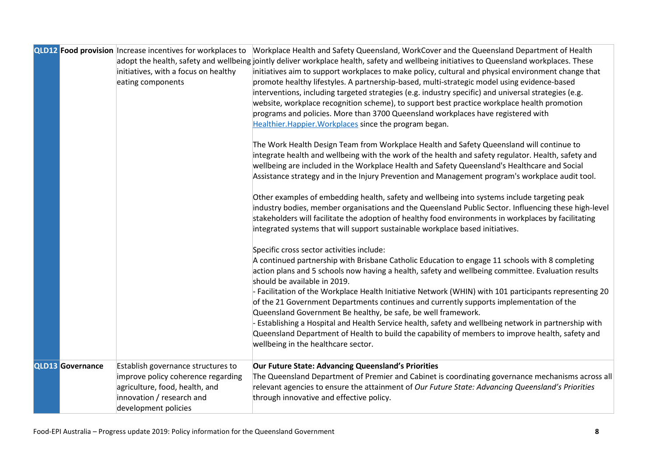|                         | QLD12 Food provision Increase incentives for workplaces to<br>initiatives, with a focus on healthy<br>eating components                                         | Workplace Health and Safety Queensland, WorkCover and the Queensland Department of Health<br>adopt the health, safety and wellbeing jointly deliver workplace health, safety and wellbeing initiatives to Queensland workplaces. These<br>initiatives aim to support workplaces to make policy, cultural and physical environment change that<br>promote healthy lifestyles. A partnership-based, multi-strategic model using evidence-based<br>interventions, including targeted strategies (e.g. industry specific) and universal strategies (e.g.<br>website, workplace recognition scheme), to support best practice workplace health promotion<br>programs and policies. More than 3700 Queensland workplaces have registered with<br>Healthier. Happier. Workplaces since the program began.<br>The Work Health Design Team from Workplace Health and Safety Queensland will continue to<br>integrate health and wellbeing with the work of the health and safety regulator. Health, safety and<br>wellbeing are included in the Workplace Health and Safety Queensland's Healthcare and Social<br>Assistance strategy and in the Injury Prevention and Management program's workplace audit tool.<br>Other examples of embedding health, safety and wellbeing into systems include targeting peak<br>industry bodies, member organisations and the Queensland Public Sector. Influencing these high-level<br>stakeholders will facilitate the adoption of healthy food environments in workplaces by facilitating<br>integrated systems that will support sustainable workplace based initiatives.<br>Specific cross sector activities include:<br>A continued partnership with Brisbane Catholic Education to engage 11 schools with 8 completing |
|-------------------------|-----------------------------------------------------------------------------------------------------------------------------------------------------------------|-----------------------------------------------------------------------------------------------------------------------------------------------------------------------------------------------------------------------------------------------------------------------------------------------------------------------------------------------------------------------------------------------------------------------------------------------------------------------------------------------------------------------------------------------------------------------------------------------------------------------------------------------------------------------------------------------------------------------------------------------------------------------------------------------------------------------------------------------------------------------------------------------------------------------------------------------------------------------------------------------------------------------------------------------------------------------------------------------------------------------------------------------------------------------------------------------------------------------------------------------------------------------------------------------------------------------------------------------------------------------------------------------------------------------------------------------------------------------------------------------------------------------------------------------------------------------------------------------------------------------------------------------------------------------------------------------------------------------------------------------------------|
|                         |                                                                                                                                                                 | action plans and 5 schools now having a health, safety and wellbeing committee. Evaluation results<br>should be available in 2019.<br>- Facilitation of the Workplace Health Initiative Network (WHIN) with 101 participants representing 20<br>of the 21 Government Departments continues and currently supports implementation of the<br>Queensland Government Be healthy, be safe, be well framework.<br>Establishing a Hospital and Health Service health, safety and wellbeing network in partnership with<br>Queensland Department of Health to build the capability of members to improve health, safety and<br>wellbeing in the healthcare sector.                                                                                                                                                                                                                                                                                                                                                                                                                                                                                                                                                                                                                                                                                                                                                                                                                                                                                                                                                                                                                                                                                                |
| <b>QLD13 Governance</b> | Establish governance structures to<br>improve policy coherence regarding<br>agriculture, food, health, and<br>innovation / research and<br>development policies | Our Future State: Advancing Queensland's Priorities<br>The Queensland Department of Premier and Cabinet is coordinating governance mechanisms across all<br>relevant agencies to ensure the attainment of Our Future State: Advancing Queensland's Priorities<br>through innovative and effective policy.                                                                                                                                                                                                                                                                                                                                                                                                                                                                                                                                                                                                                                                                                                                                                                                                                                                                                                                                                                                                                                                                                                                                                                                                                                                                                                                                                                                                                                                 |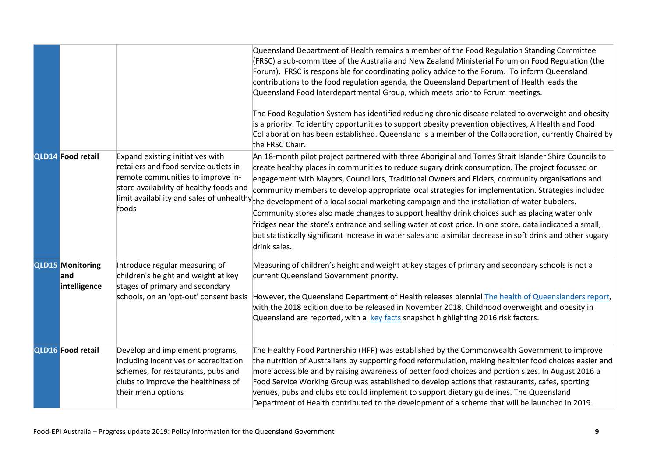|                                                 |                                                                                                                                                                             | Queensland Department of Health remains a member of the Food Regulation Standing Committee<br>(FRSC) a sub-committee of the Australia and New Zealand Ministerial Forum on Food Regulation (the<br>Forum). FRSC is responsible for coordinating policy advice to the Forum. To inform Queensland<br>contributions to the food regulation agenda, the Queensland Department of Health leads the<br>Queensland Food Interdepartmental Group, which meets prior to Forum meetings.<br>The Food Regulation System has identified reducing chronic disease related to overweight and obesity<br>is a priority. To identify opportunities to support obesity prevention objectives, A Health and Food<br>Collaboration has been established. Queensland is a member of the Collaboration, currently Chaired by<br>the FRSC Chair.                                                                                          |
|-------------------------------------------------|-----------------------------------------------------------------------------------------------------------------------------------------------------------------------------|----------------------------------------------------------------------------------------------------------------------------------------------------------------------------------------------------------------------------------------------------------------------------------------------------------------------------------------------------------------------------------------------------------------------------------------------------------------------------------------------------------------------------------------------------------------------------------------------------------------------------------------------------------------------------------------------------------------------------------------------------------------------------------------------------------------------------------------------------------------------------------------------------------------------|
| <b>QLD14 Food retail</b>                        | Expand existing initiatives with<br>retailers and food service outlets in<br>remote communities to improve in-<br>store availability of healthy foods and<br>foods          | An 18-month pilot project partnered with three Aboriginal and Torres Strait Islander Shire Councils to<br>create healthy places in communities to reduce sugary drink consumption. The project focussed on<br>engagement with Mayors, Councillors, Traditional Owners and Elders, community organisations and<br>community members to develop appropriate local strategies for implementation. Strategies included<br>limit availability and sales of unhealthy <sub>the development of a local social marketing campaign and the installation of water bubblers.</sub><br>Community stores also made changes to support healthy drink choices such as placing water only<br>fridges near the store's entrance and selling water at cost price. In one store, data indicated a small,<br>but statistically significant increase in water sales and a similar decrease in soft drink and other sugary<br>drink sales. |
| <b>QLD15 Monitoring</b><br>land<br>intelligence | Introduce regular measuring of<br>children's height and weight at key<br>stages of primary and secondary<br>schools, on an 'opt-out' consent basis                          | Measuring of children's height and weight at key stages of primary and secondary schools is not a<br>current Queensland Government priority.<br>However, the Queensland Department of Health releases biennial The health of Queenslanders report,<br>with the 2018 edition due to be released in November 2018. Childhood overweight and obesity in<br>Queensland are reported, with a key facts snapshot highlighting 2016 risk factors.                                                                                                                                                                                                                                                                                                                                                                                                                                                                           |
| <b>QLD16</b> Food retail                        | Develop and implement programs,<br>including incentives or accreditation<br>schemes, for restaurants, pubs and<br>clubs to improve the healthiness of<br>their menu options | The Healthy Food Partnership (HFP) was established by the Commonwealth Government to improve<br>the nutrition of Australians by supporting food reformulation, making healthier food choices easier and<br>more accessible and by raising awareness of better food choices and portion sizes. In August 2016 a<br>Food Service Working Group was established to develop actions that restaurants, cafes, sporting<br>venues, pubs and clubs etc could implement to support dietary guidelines. The Queensland<br>Department of Health contributed to the development of a scheme that will be launched in 2019.                                                                                                                                                                                                                                                                                                      |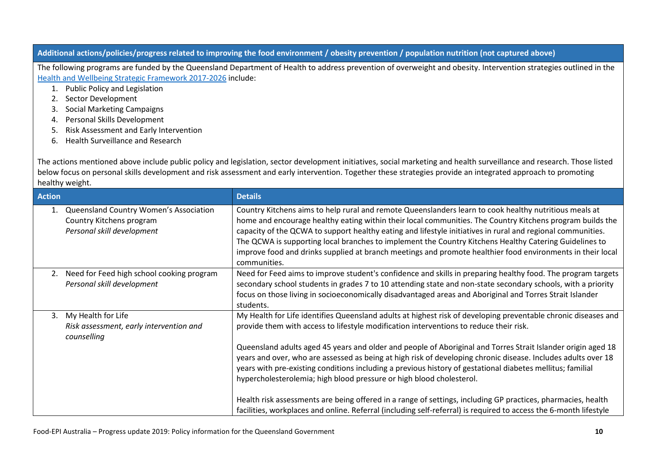#### **Additional actions/policies/progress related to improving the food environment / obesity prevention / population nutrition (not captured above)**

The following programs are funded by the Queensland Department of Health to address prevention of overweight and obesity. Intervention strategies outlined in the [Health and Wellbeing Strategic Framework 2017-2026](https://www.health.qld.gov.au/system-governance/strategic-direction/plans/health-wellbeing) include:

- 1. Public Policy and Legislation
- 2. Sector Development
- 3. Social Marketing Campaigns
- 4. Personal Skills Development
- 5. Risk Assessment and Early Intervention
- 6. Health Surveillance and Research

The actions mentioned above include public policy and legislation, sector development initiatives, social marketing and health surveillance and research. Those listed below focus on personal skills development and risk assessment and early intervention. Together these strategies provide an integrated approach to promoting healthy weight.

| <b>Action</b> |                                                                                                  | <b>Details</b>                                                                                                                                                                                                                                                                                                                                                                                                                                                                                                                                                                                                                                                                                                                                                                                                                                                       |  |
|---------------|--------------------------------------------------------------------------------------------------|----------------------------------------------------------------------------------------------------------------------------------------------------------------------------------------------------------------------------------------------------------------------------------------------------------------------------------------------------------------------------------------------------------------------------------------------------------------------------------------------------------------------------------------------------------------------------------------------------------------------------------------------------------------------------------------------------------------------------------------------------------------------------------------------------------------------------------------------------------------------|--|
|               | Queensland Country Women's Association<br>Country Kitchens program<br>Personal skill development | Country Kitchens aims to help rural and remote Queenslanders learn to cook healthy nutritious meals at<br>home and encourage healthy eating within their local communities. The Country Kitchens program builds the<br>capacity of the QCWA to support healthy eating and lifestyle initiatives in rural and regional communities.<br>The QCWA is supporting local branches to implement the Country Kitchens Healthy Catering Guidelines to<br>improve food and drinks supplied at branch meetings and promote healthier food environments in their local<br>communities.                                                                                                                                                                                                                                                                                           |  |
|               | 2. Need for Feed high school cooking program<br>Personal skill development                       | Need for Feed aims to improve student's confidence and skills in preparing healthy food. The program targets<br>secondary school students in grades 7 to 10 attending state and non-state secondary schools, with a priority<br>focus on those living in socioeconomically disadvantaged areas and Aboriginal and Torres Strait Islander<br>students.                                                                                                                                                                                                                                                                                                                                                                                                                                                                                                                |  |
| 3.            | My Health for Life<br>Risk assessment, early intervention and<br>counselling                     | My Health for Life identifies Queensland adults at highest risk of developing preventable chronic diseases and<br>provide them with access to lifestyle modification interventions to reduce their risk.<br>Queensland adults aged 45 years and older and people of Aboriginal and Torres Strait Islander origin aged 18<br>years and over, who are assessed as being at high risk of developing chronic disease. Includes adults over 18<br>years with pre-existing conditions including a previous history of gestational diabetes mellitus; familial<br>hypercholesterolemia; high blood pressure or high blood cholesterol.<br>Health risk assessments are being offered in a range of settings, including GP practices, pharmacies, health<br>facilities, workplaces and online. Referral (including self-referral) is required to access the 6-month lifestyle |  |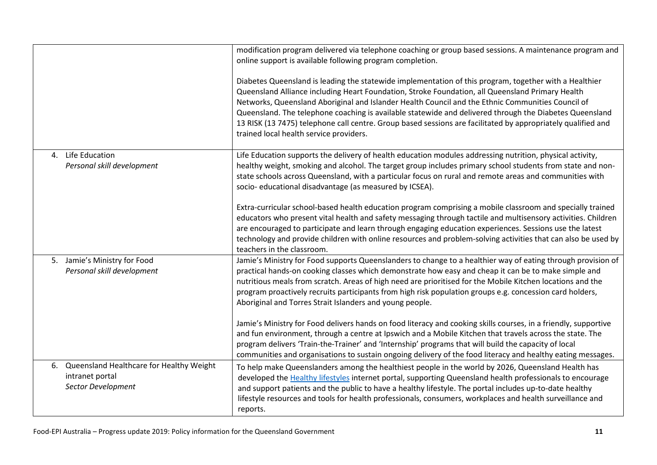|                                                                                         | modification program delivered via telephone coaching or group based sessions. A maintenance program and<br>online support is available following program completion.<br>Diabetes Queensland is leading the statewide implementation of this program, together with a Healthier<br>Queensland Alliance including Heart Foundation, Stroke Foundation, all Queensland Primary Health<br>Networks, Queensland Aboriginal and Islander Health Council and the Ethnic Communities Council of<br>Queensland. The telephone coaching is available statewide and delivered through the Diabetes Queensland<br>13 RISK (13 7475) telephone call centre. Group based sessions are facilitated by appropriately qualified and<br>trained local health service providers.                                                                                                                                                                                                   |
|-----------------------------------------------------------------------------------------|------------------------------------------------------------------------------------------------------------------------------------------------------------------------------------------------------------------------------------------------------------------------------------------------------------------------------------------------------------------------------------------------------------------------------------------------------------------------------------------------------------------------------------------------------------------------------------------------------------------------------------------------------------------------------------------------------------------------------------------------------------------------------------------------------------------------------------------------------------------------------------------------------------------------------------------------------------------|
| Life Education<br>4.<br>Personal skill development                                      | Life Education supports the delivery of health education modules addressing nutrition, physical activity,<br>healthy weight, smoking and alcohol. The target group includes primary school students from state and non-<br>state schools across Queensland, with a particular focus on rural and remote areas and communities with<br>socio- educational disadvantage (as measured by ICSEA).<br>Extra-curricular school-based health education program comprising a mobile classroom and specially trained<br>educators who present vital health and safety messaging through tactile and multisensory activities. Children<br>are encouraged to participate and learn through engaging education experiences. Sessions use the latest<br>technology and provide children with online resources and problem-solving activities that can also be used by<br>teachers in the classroom.                                                                           |
| 5. Jamie's Ministry for Food<br>Personal skill development                              | Jamie's Ministry for Food supports Queenslanders to change to a healthier way of eating through provision of<br>practical hands-on cooking classes which demonstrate how easy and cheap it can be to make simple and<br>nutritious meals from scratch. Areas of high need are prioritised for the Mobile Kitchen locations and the<br>program proactively recruits participants from high risk population groups e.g. concession card holders,<br>Aboriginal and Torres Strait Islanders and young people.<br>Jamie's Ministry for Food delivers hands on food literacy and cooking skills courses, in a friendly, supportive<br>and fun environment, through a centre at Ipswich and a Mobile Kitchen that travels across the state. The<br>program delivers 'Train-the-Trainer' and 'Internship' programs that will build the capacity of local<br>communities and organisations to sustain ongoing delivery of the food literacy and healthy eating messages. |
| Queensland Healthcare for Healthy Weight<br>6.<br>intranet portal<br>Sector Development | To help make Queenslanders among the healthiest people in the world by 2026, Queensland Health has<br>developed the Healthy lifestyles internet portal, supporting Queensland health professionals to encourage<br>and support patients and the public to have a healthy lifestyle. The portal includes up-to-date healthy<br>lifestyle resources and tools for health professionals, consumers, workplaces and health surveillance and<br>reports.                                                                                                                                                                                                                                                                                                                                                                                                                                                                                                              |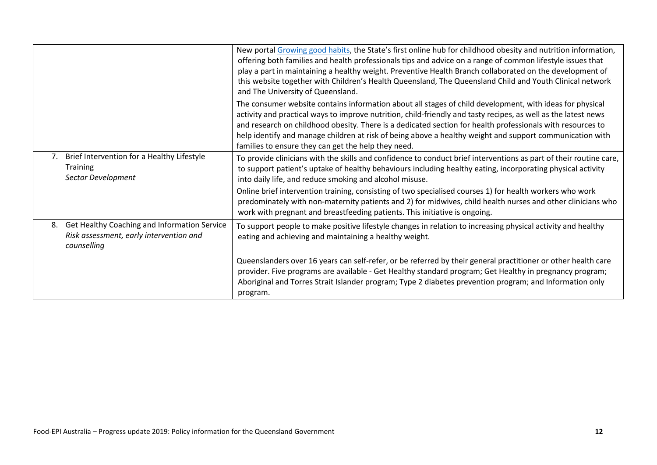|    |                                                                                                        | New portal Growing good habits, the State's first online hub for childhood obesity and nutrition information,<br>offering both families and health professionals tips and advice on a range of common lifestyle issues that<br>play a part in maintaining a healthy weight. Preventive Health Branch collaborated on the development of<br>this website together with Children's Health Queensland, The Queensland Child and Youth Clinical network<br>and The University of Queensland.                    |
|----|--------------------------------------------------------------------------------------------------------|-------------------------------------------------------------------------------------------------------------------------------------------------------------------------------------------------------------------------------------------------------------------------------------------------------------------------------------------------------------------------------------------------------------------------------------------------------------------------------------------------------------|
|    |                                                                                                        | The consumer website contains information about all stages of child development, with ideas for physical<br>activity and practical ways to improve nutrition, child-friendly and tasty recipes, as well as the latest news<br>and research on childhood obesity. There is a dedicated section for health professionals with resources to<br>help identify and manage children at risk of being above a healthy weight and support communication with<br>families to ensure they can get the help they need. |
| 7. | Brief Intervention for a Healthy Lifestyle<br><b>Training</b><br>Sector Development                    | To provide clinicians with the skills and confidence to conduct brief interventions as part of their routine care,<br>to support patient's uptake of healthy behaviours including healthy eating, incorporating physical activity<br>into daily life, and reduce smoking and alcohol misuse.                                                                                                                                                                                                                |
|    |                                                                                                        | Online brief intervention training, consisting of two specialised courses 1) for health workers who work<br>predominately with non-maternity patients and 2) for midwives, child health nurses and other clinicians who<br>work with pregnant and breastfeeding patients. This initiative is ongoing.                                                                                                                                                                                                       |
| 8. | Get Healthy Coaching and Information Service<br>Risk assessment, early intervention and<br>counselling | To support people to make positive lifestyle changes in relation to increasing physical activity and healthy<br>eating and achieving and maintaining a healthy weight.                                                                                                                                                                                                                                                                                                                                      |
|    |                                                                                                        | Queenslanders over 16 years can self-refer, or be referred by their general practitioner or other health care<br>provider. Five programs are available - Get Healthy standard program; Get Healthy in pregnancy program;<br>Aboriginal and Torres Strait Islander program; Type 2 diabetes prevention program; and Information only<br>program.                                                                                                                                                             |